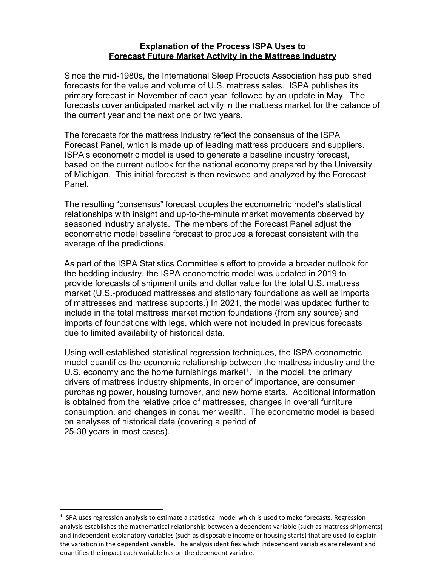## **Explanation of the Process ISPA Uses to Forecast Future Market Activity in the Mattress Industry**

Since the mid-1980s, the International Sleep Products Association has published forecasts for the value and volume of U.S. mattress sales. ISPA publishes its primary forecast in November of each year, followed by an update in May. The forecasts cover anticipated market activity in the mattress market for the balance of the current year and the next one or two years.

The forecasts for the mattress industry reflect the consensus of the ISPA Forecast Panel, which is made up of leading mattress producers and suppliers. ISPA's econometric model is used to generate a baseline industry forecast, based on the current outlook for the national economy prepared by the University of Michigan. This initial forecast is then reviewed and analyzed by the Forecast Panel.

The resulting "consensus" forecast couples the econometric model's statistical relationships with insight and up-to-the-minute market movements observed by seasoned industry analysts. The members of the Forecast Panel adjust the econometric model baseline forecast to produce a forecast consistent with the average of the predictions.

As part of the ISPA Statistics Committee's effort to provide a broader outlook for the bedding industry, the ISPA econometric model was updated in 2019 to provide forecasts of shipment units and dollar value for the total U.S. mattress market (U.S.-produced mattresses and stationary foundations as well as imports of mattresses and mattress supports.) In 2021, the model was updated further to include in the total mattress market motion foundations (from any source) and imports of foundations with legs, which were not included in previous forecasts due to limited availability of historical data.

Using well-established statistical regression techniques, the ISPA econometric model quantifies the economic relationship between the mattress industry and the U.S. economy and the home furnishings market<sup>[1](#page-0-0)</sup>. In the model, the primary drivers of mattress industry shipments, in order of importance, are consumer purchasing power, housing turnover, and new home starts. Additional information is obtained from the relative price of mattresses, changes in overall furniture consumption, and changes in consumer wealth. The econometric model is based on analyses of historical data (covering a period of 25-30 years in most cases).

<span id="page-0-0"></span><sup>&</sup>lt;sup>1</sup> ISPA uses regression analysis to estimate a statistical model which is used to make forecasts. Regression analysis establishes the mathematical relationship between a dependent variable (such as mattress shipments) and independent explanatory variables (such as disposable income or housing starts) that are used to explain the variation in the dependent variable. The analysis identifies which independent variables are relevant and quantifies the impact each variable has on the dependent variable.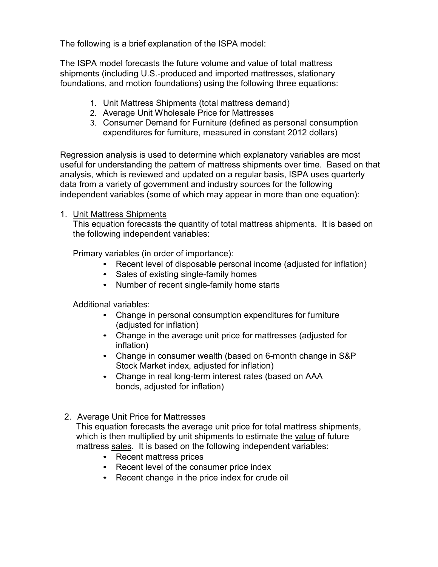The following is a brief explanation of the ISPA model:

The ISPA model forecasts the future volume and value of total mattress shipments (including U.S.-produced and imported mattresses, stationary foundations, and motion foundations) using the following three equations:

- 1. Unit Mattress Shipments (total mattress demand)
- 2. Average Unit Wholesale Price for Mattresses
- 3. Consumer Demand for Furniture (defined as personal consumption expenditures for furniture, measured in constant 2012 dollars)

Regression analysis is used to determine which explanatory variables are most useful for understanding the pattern of mattress shipments over time. Based on that analysis, which is reviewed and updated on a regular basis, ISPA uses quarterly data from a variety of government and industry sources for the following independent variables (some of which may appear in more than one equation):

## 1. Unit Mattress Shipments

This equation forecasts the quantity of total mattress shipments. It is based on the following independent variables:

Primary variables (in order of importance):

- Recent level of disposable personal income (adjusted for inflation)
- Sales of existing single-family homes
- Number of recent single-family home starts

Additional variables:

- Change in personal consumption expenditures for furniture (adjusted for inflation)
- Change in the average unit price for mattresses (adjusted for inflation)
- Change in consumer wealth (based on 6-month change in S&P Stock Market index, adjusted for inflation)
- Change in real long-term interest rates (based on AAA bonds, adjusted for inflation)

## 2. Average Unit Price for Mattresses

This equation forecasts the average unit price for total mattress shipments, which is then multiplied by unit shipments to estimate the value of future mattress sales. It is based on the following independent variables:

- Recent mattress prices
- Recent level of the consumer price index
- Recent change in the price index for crude oil